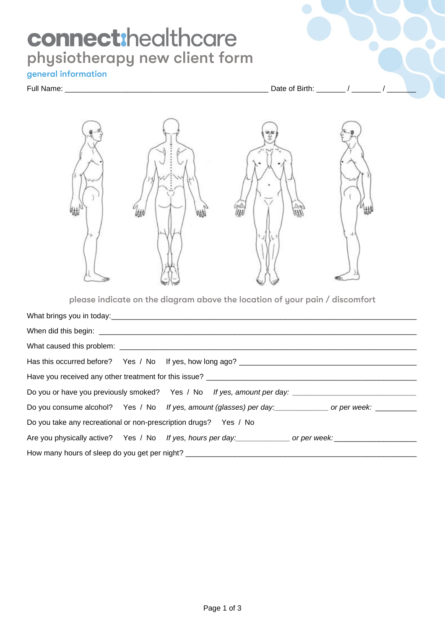# **connect:** healthcare<br>physiotherapy new client form

# general information

# Full Name: \_\_\_\_\_\_\_\_\_\_\_\_\_\_\_\_\_\_\_\_\_\_\_\_\_\_\_\_\_\_\_\_\_\_\_\_\_\_\_\_\_\_\_\_\_\_\_\_\_ Date of Birth: \_\_\_\_\_\_\_ / \_\_\_\_\_\_\_ / \_\_\_\_\_\_\_



please indicate on the diagram above the location of your pain / discomfort

|                                                                  | Has this occurred before? Yes / No If yes, how long ago? _______________________                        |
|------------------------------------------------------------------|---------------------------------------------------------------------------------------------------------|
|                                                                  | Have you received any other treatment for this issue? ___________________________                       |
|                                                                  | Do you or have you previously smoked? Yes / No If yes, amount per day: ____________________________     |
|                                                                  | Do you consume alcohol? Yes / No If yes, amount (glasses) per day: ____________ or per week: __________ |
| Do you take any recreational or non-prescription drugs? Yes / No |                                                                                                         |
|                                                                  | Are you physically active? Yes / No If yes, hours per day: _____________ or per week: ______________    |
|                                                                  | How many hours of sleep do you get per night? __________________________________                        |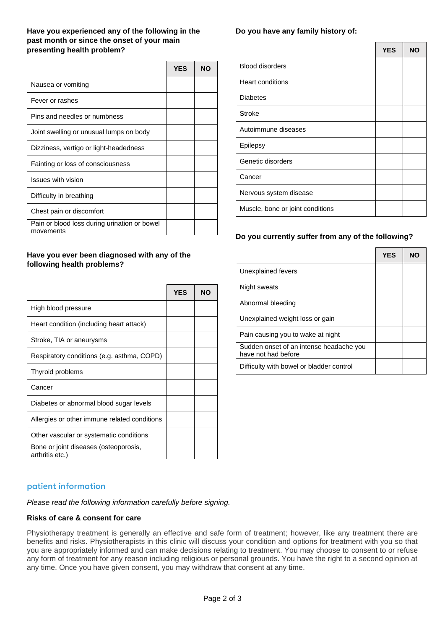# **Have you experienced any of the following in the past month or since the onset of your main presenting health problem?**

|                                                           | <b>YES</b> | <b>NO</b> |
|-----------------------------------------------------------|------------|-----------|
| Nausea or vomiting                                        |            |           |
| Fever or rashes                                           |            |           |
| Pins and needles or numbness                              |            |           |
| Joint swelling or unusual lumps on body                   |            |           |
| Dizziness, vertigo or light-headedness                    |            |           |
| Fainting or loss of consciousness                         |            |           |
| <b>Issues with vision</b>                                 |            |           |
| Difficulty in breathing                                   |            |           |
| Chest pain or discomfort                                  |            |           |
| Pain or blood loss during urination or bowel<br>movements |            |           |

## **Have you ever been diagnosed with any of the following health problems?**

|                                                          | <b>YES</b> | <b>NO</b> |
|----------------------------------------------------------|------------|-----------|
| High blood pressure                                      |            |           |
| Heart condition (including heart attack)                 |            |           |
| Stroke, TIA or aneurysms                                 |            |           |
| Respiratory conditions (e.g. asthma, COPD)               |            |           |
| Thyroid problems                                         |            |           |
| Cancer                                                   |            |           |
| Diabetes or abnormal blood sugar levels                  |            |           |
| Allergies or other immune related conditions             |            |           |
| Other vascular or systematic conditions                  |            |           |
| Bone or joint diseases (osteoporosis,<br>arthritis etc.) |            |           |

# **Do you have any family history of:**

|                                  | <b>YES</b> | <b>NO</b> |
|----------------------------------|------------|-----------|
| <b>Blood disorders</b>           |            |           |
| <b>Heart conditions</b>          |            |           |
| <b>Diabetes</b>                  |            |           |
| <b>Stroke</b>                    |            |           |
| Autoimmune diseases              |            |           |
| Epilepsy                         |            |           |
| Genetic disorders                |            |           |
| Cancer                           |            |           |
| Nervous system disease           |            |           |
| Muscle, bone or joint conditions |            |           |

# **Do you currently suffer from any of the following?**

|                                                                | <b>YES</b> | NO |
|----------------------------------------------------------------|------------|----|
| Unexplained fevers                                             |            |    |
| Night sweats                                                   |            |    |
| Abnormal bleeding                                              |            |    |
| Unexplained weight loss or gain                                |            |    |
| Pain causing you to wake at night                              |            |    |
| Sudden onset of an intense headache you<br>have not had before |            |    |
| Difficulty with bowel or bladder control                       |            |    |

# patient information

*Please read the following information carefully before signing.*

#### **Risks of care & consent for care**

Physiotherapy treatment is generally an effective and safe form of treatment; however, like any treatment there are benefits and risks. Physiotherapists in this clinic will discuss your condition and options for treatment with you so that you are appropriately informed and can make decisions relating to treatment. You may choose to consent to or refuse any form of treatment for any reason including religious or personal grounds. You have the right to a second opinion at any time. Once you have given consent, you may withdraw that consent at any time.